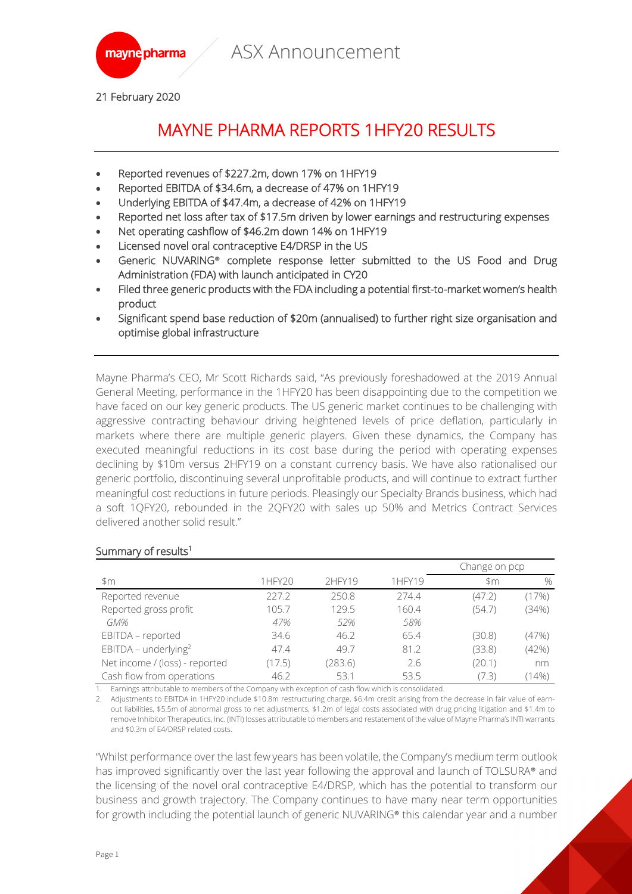



21 February 2020

# MAYNE PHARMA REPORTS 1HFY20 RESULTS

- Reported revenues of \$227.2m, down 17% on 1HFY19
- Reported EBITDA of \$34.6m, a decrease of 47% on 1HFY19
- Underlying EBITDA of \$47.4m, a decrease of 42% on 1HFY19
- Reported net loss after tax of \$17.5m driven by lower earnings and restructuring expenses
- Net operating cashflow of \$46.2m down 14% on 1HFY19
- Licensed novel oral contraceptive E4/DRSP in the US
- Generic NUVARING**®** complete response letter submitted to the US Food and Drug Administration (FDA) with launch anticipated in CY20
- Filed three generic products with the FDA including a potential first-to-market women's health product
- Significant spend base reduction of \$20m (annualised) to further right size organisation and optimise global infrastructure

Mayne Pharma's CEO, Mr Scott Richards said, "As previously foreshadowed at the 2019 Annual General Meeting, performance in the 1HFY20 has been disappointing due to the competition we have faced on our key generic products. The US generic market continues to be challenging with aggressive contracting behaviour driving heightened levels of price deflation, particularly in markets where there are multiple generic players. Given these dynamics, the Company has executed meaningful reductions in its cost base during the period with operating expenses declining by \$10m versus 2HFY19 on a constant currency basis. We have also rationalised our generic portfolio, discontinuing several unprofitable products, and will continue to extract further meaningful cost reductions in future periods. Pleasingly our Specialty Brands business, which had a soft 1QFY20, rebounded in the 2QFY20 with sales up 50% and Metrics Contract Services delivered another solid result."

| \$m                              | 1HFY20 | 2HFY19  | 1HFY19 | Change on pcp |               |
|----------------------------------|--------|---------|--------|---------------|---------------|
|                                  |        |         |        | \$m           | $\frac{0}{0}$ |
| Reported revenue                 | 227.2  | 250.8   | 274.4  | (47.2)        | (17%)         |
| Reported gross profit            | 105.7  | 129.5   | 160.4  | (54.7)        | (34%)         |
| GM%                              | 47%    | 52%     | 58%    |               |               |
| EBITDA - reported                | 34.6   | 46.2    | 65.4   | (30.8)        | (47%)         |
| EBITDA - underlying <sup>2</sup> | 47.4   | 49.7    | 81.2   | (33.8)        | (42%)         |
| Net income / (loss) - reported   | (17.5) | (283.6) | 2.6    | (20.1)        | nm            |
| Cash flow from operations        | 46.2   | 53.1    | 53.5   | (7.3)         | $(14\%)$      |

#### Summary of results<sup>1</sup>

1. Earnings attributable to members of the Company with exception of cash flow which is consolidated.

2. Adjustments to EBITDA in 1HFY20 include \$10.8m restructuring charge, \$6.4m credit arising from the decrease in fair value of earnout liabilities, \$5.5m of abnormal gross to net adjustments, \$1.2m of legal costs associated with drug pricing litigation and \$1.4m to remove Inhibitor Therapeutics, Inc. (INTI) losses attributable to members and restatement of the value of Mayne Pharma's INTI warrants and \$0.3m of E4/DRSP related costs.

"Whilst performance over the last few years has been volatile, the Company's medium term outlook has improved significantly over the last year following the approval and launch of TOLSURA® and the licensing of the novel oral contraceptive E4/DRSP, which has the potential to transform our business and growth trajectory. The Company continues to have many near term opportunities for growth including the potential launch of generic NUVARING® this calendar year and a number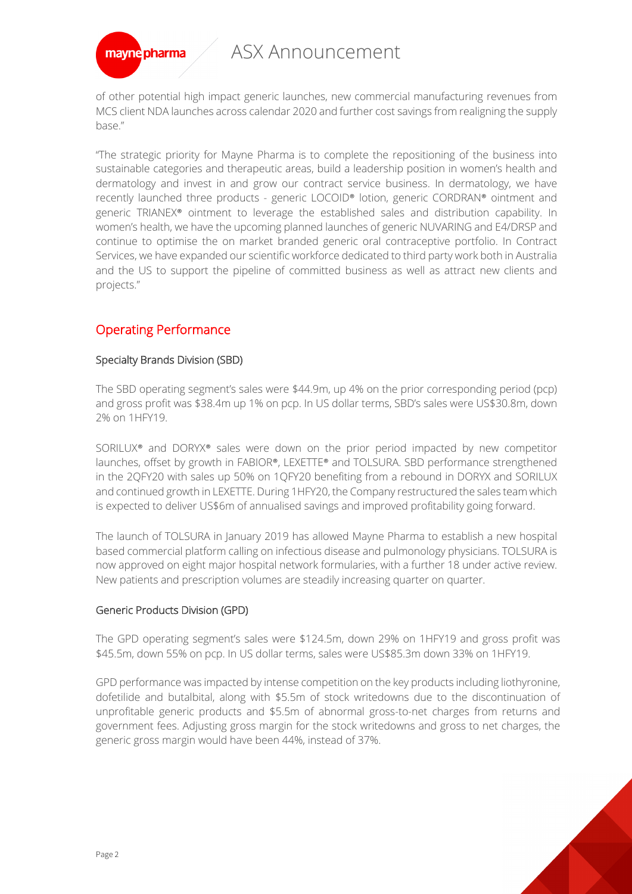# ASX Announcement



of other potential high impact generic launches, new commercial manufacturing revenues from MCS client NDA launches across calendar 2020 and further cost savings from realigning the supply base."

"The strategic priority for Mayne Pharma is to complete the repositioning of the business into sustainable categories and therapeutic areas, build a leadership position in women's health and dermatology and invest in and grow our contract service business. In dermatology, we have recently launched three products - generic LOCOID® lotion, generic CORDRAN® ointment and generic TRIANEX® ointment to leverage the established sales and distribution capability. In women's health, we have the upcoming planned launches of generic NUVARING and E4/DRSP and continue to optimise the on market branded generic oral contraceptive portfolio. In Contract Services, we have expanded our scientific workforce dedicated to third party work both in Australia and the US to support the pipeline of committed business as well as attract new clients and projects."

## Operating Performance

### Specialty Brands Division (SBD)

The SBD operating segment's sales were \$44.9m, up 4% on the prior corresponding period (pcp) and gross profit was \$38.4m up 1% on pcp. In US dollar terms, SBD's sales were US\$30.8m, down 2% on 1HFY19.

SORILUX® and DORYX® sales were down on the prior period impacted by new competitor launches, offset by growth in FABIOR®, LEXETTE® and TOLSURA. SBD performance strengthened in the 2QFY20 with sales up 50% on 1QFY20 benefiting from a rebound in DORYX and SORILUX and continued growth in LEXETTE. During 1HFY20, the Company restructured the sales team which is expected to deliver US\$6m of annualised savings and improved profitability going forward.

The launch of TOLSURA in January 2019 has allowed Mayne Pharma to establish a new hospital based commercial platform calling on infectious disease and pulmonology physicians. TOLSURA is now approved on eight major hospital network formularies, with a further 18 under active review. New patients and prescription volumes are steadily increasing quarter on quarter.

### Generic Products Division (GPD)

The GPD operating segment's sales were \$124.5m, down 29% on 1HFY19 and gross profit was \$45.5m, down 55% on pcp. In US dollar terms, sales were US\$85.3m down 33% on 1HFY19.

GPD performance was impacted by intense competition on the key products including liothyronine, dofetilide and butalbital, along with \$5.5m of stock writedowns due to the discontinuation of unprofitable generic products and \$5.5m of abnormal gross-to-net charges from returns and government fees. Adjusting gross margin for the stock writedowns and gross to net charges, the generic gross margin would have been 44%, instead of 37%.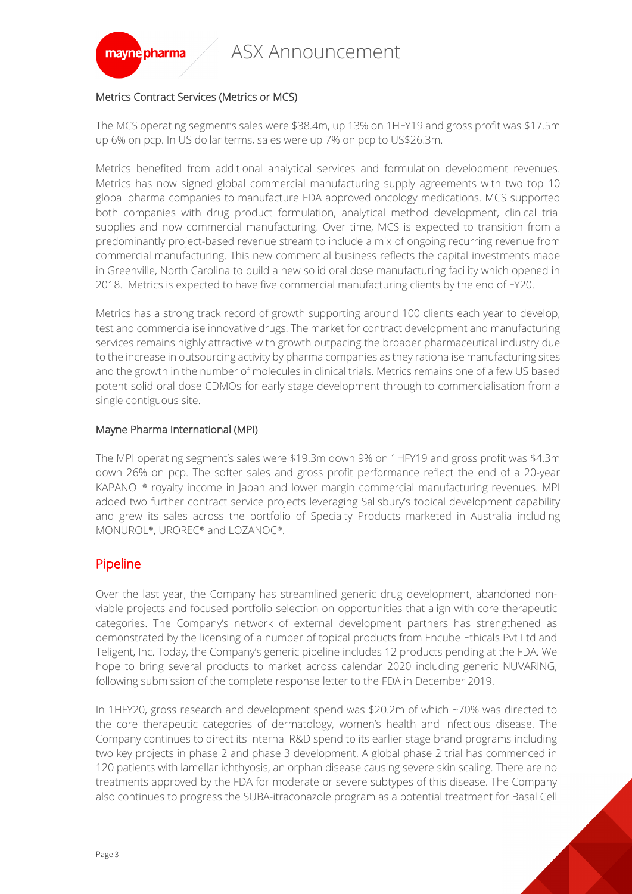

#### Metrics Contract Services (Metrics or MCS)

The MCS operating segment's sales were \$38.4m, up 13% on 1HFY19 and gross profit was \$17.5m up 6% on pcp. In US dollar terms, sales were up 7% on pcp to US\$26.3m.

Metrics benefited from additional analytical services and formulation development revenues. Metrics has now signed global commercial manufacturing supply agreements with two top 10 global pharma companies to manufacture FDA approved oncology medications. MCS supported both companies with drug product formulation, analytical method development, clinical trial supplies and now commercial manufacturing. Over time, MCS is expected to transition from a predominantly project-based revenue stream to include a mix of ongoing recurring revenue from commercial manufacturing. This new commercial business reflects the capital investments made in Greenville, North Carolina to build a new solid oral dose manufacturing facility which opened in 2018. Metrics is expected to have five commercial manufacturing clients by the end of FY20.

Metrics has a strong track record of growth supporting around 100 clients each year to develop, test and commercialise innovative drugs. The market for contract development and manufacturing services remains highly attractive with growth outpacing the broader pharmaceutical industry due to the increase in outsourcing activity by pharma companies as they rationalise manufacturing sites and the growth in the number of molecules in clinical trials. Metrics remains one of a few US based potent solid oral dose CDMOs for early stage development through to commercialisation from a single contiguous site.

#### Mayne Pharma International (MPI)

The MPI operating segment's sales were \$19.3m down 9% on 1HFY19 and gross profit was \$4.3m down 26% on pcp. The softer sales and gross profit performance reflect the end of a 20-year KAPANOL® royalty income in Japan and lower margin commercial manufacturing revenues. MPI added two further contract service projects leveraging Salisbury's topical development capability and grew its sales across the portfolio of Specialty Products marketed in Australia including MONUROL®, UROREC® and LOZANOC®.

## Pipeline

Over the last year, the Company has streamlined generic drug development, abandoned nonviable projects and focused portfolio selection on opportunities that align with core therapeutic categories. The Company's network of external development partners has strengthened as demonstrated by the licensing of a number of topical products from Encube Ethicals Pvt Ltd and Teligent, Inc. Today, the Company's generic pipeline includes 12 products pending at the FDA. We hope to bring several products to market across calendar 2020 including generic NUVARING, following submission of the complete response letter to the FDA in December 2019.

In 1HFY20, gross research and development spend was \$20.2m of which ~70% was directed to the core therapeutic categories of dermatology, women's health and infectious disease. The Company continues to direct its internal R&D spend to its earlier stage brand programs including two key projects in phase 2 and phase 3 development. A global phase 2 trial has commenced in 120 patients with lamellar ichthyosis, an orphan disease causing severe skin scaling. There are no treatments approved by the FDA for moderate or severe subtypes of this disease. The Company also continues to progress the SUBA-itraconazole program as a potential treatment for Basal Cell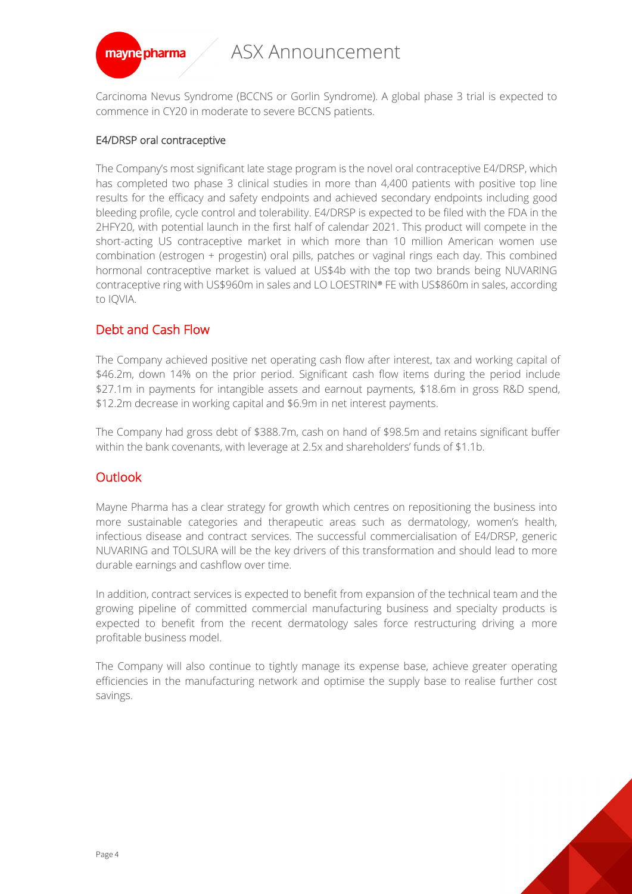

Carcinoma Nevus Syndrome (BCCNS or Gorlin Syndrome). A global phase 3 trial is expected to commence in CY20 in moderate to severe BCCNS patients.

#### E4/DRSP oral contraceptive

The Company's most significant late stage program is the novel oral contraceptive E4/DRSP, which has completed two phase 3 clinical studies in more than 4,400 patients with positive top line results for the efficacy and safety endpoints and achieved secondary endpoints including good bleeding profile, cycle control and tolerability. E4/DRSP is expected to be filed with the FDA in the 2HFY20, with potential launch in the first half of calendar 2021. This product will compete in the short-acting US contraceptive market in which more than 10 million American women use combination (estrogen + progestin) oral pills, patches or vaginal rings each day. This combined hormonal contraceptive market is valued at US\$4b with the top two brands being NUVARING contraceptive ring with US\$960m in sales and LO LOESTRIN® FE with US\$860m in sales, according to IQVIA.

## Debt and Cash Flow

The Company achieved positive net operating cash flow after interest, tax and working capital of \$46.2m, down 14% on the prior period. Significant cash flow items during the period include \$27.1m in payments for intangible assets and earnout payments, \$18.6m in gross R&D spend, \$12.2m decrease in working capital and \$6.9m in net interest payments.

The Company had gross debt of \$388.7m, cash on hand of \$98.5m and retains significant buffer within the bank covenants, with leverage at 2.5x and shareholders' funds of \$1.1b.

## **Outlook**

Mayne Pharma has a clear strategy for growth which centres on repositioning the business into more sustainable categories and therapeutic areas such as dermatology, women's health, infectious disease and contract services. The successful commercialisation of E4/DRSP, generic NUVARING and TOLSURA will be the key drivers of this transformation and should lead to more durable earnings and cashflow over time.

In addition, contract services is expected to benefit from expansion of the technical team and the growing pipeline of committed commercial manufacturing business and specialty products is expected to benefit from the recent dermatology sales force restructuring driving a more profitable business model.

The Company will also continue to tightly manage its expense base, achieve greater operating efficiencies in the manufacturing network and optimise the supply base to realise further cost savings.